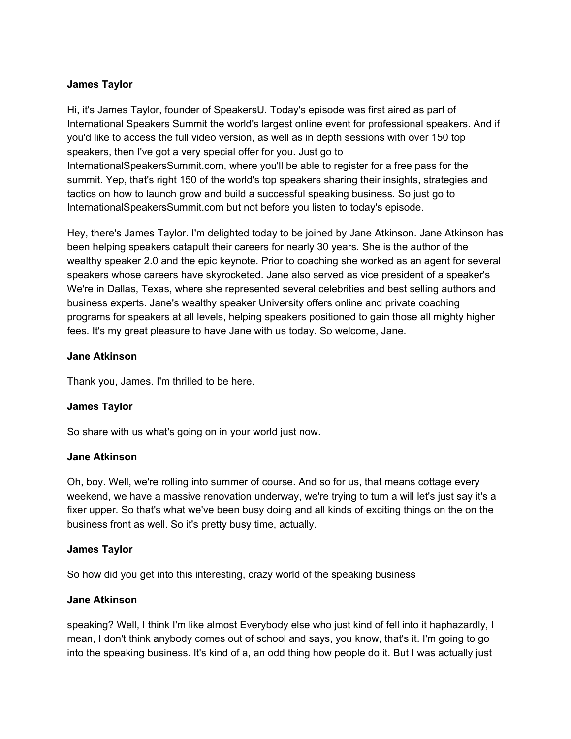### **James Taylor**

Hi, it's James Taylor, founder of SpeakersU. Today's episode was first aired as part of International Speakers Summit the world's largest online event for professional speakers. And if you'd like to access the full video version, as well as in depth sessions with over 150 top speakers, then I've got a very special offer for you. Just go to InternationalSpeakersSummit.com, where you'll be able to register for a free pass for the summit. Yep, that's right 150 of the world's top speakers sharing their insights, strategies and tactics on how to launch grow and build a successful speaking business. So just go to InternationalSpeakersSummit.com but not before you listen to today's episode.

Hey, there's James Taylor. I'm delighted today to be joined by Jane Atkinson. Jane Atkinson has been helping speakers catapult their careers for nearly 30 years. She is the author of the wealthy speaker 2.0 and the epic keynote. Prior to coaching she worked as an agent for several speakers whose careers have skyrocketed. Jane also served as vice president of a speaker's We're in Dallas, Texas, where she represented several celebrities and best selling authors and business experts. Jane's wealthy speaker University offers online and private coaching programs for speakers at all levels, helping speakers positioned to gain those all mighty higher fees. It's my great pleasure to have Jane with us today. So welcome, Jane.

#### **Jane Atkinson**

Thank you, James. I'm thrilled to be here.

#### **James Taylor**

So share with us what's going on in your world just now.

#### **Jane Atkinson**

Oh, boy. Well, we're rolling into summer of course. And so for us, that means cottage every weekend, we have a massive renovation underway, we're trying to turn a will let's just say it's a fixer upper. So that's what we've been busy doing and all kinds of exciting things on the on the business front as well. So it's pretty busy time, actually.

#### **James Taylor**

So how did you get into this interesting, crazy world of the speaking business

#### **Jane Atkinson**

speaking? Well, I think I'm like almost Everybody else who just kind of fell into it haphazardly, I mean, I don't think anybody comes out of school and says, you know, that's it. I'm going to go into the speaking business. It's kind of a, an odd thing how people do it. But I was actually just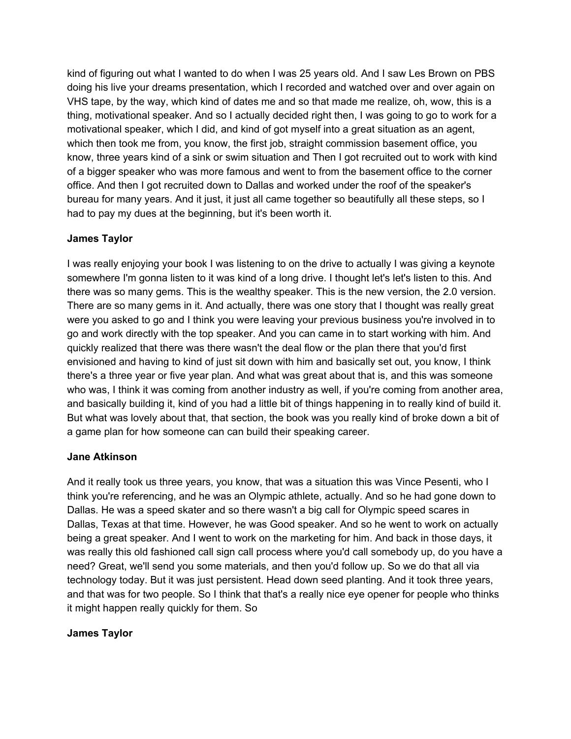kind of figuring out what I wanted to do when I was 25 years old. And I saw Les Brown on PBS doing his live your dreams presentation, which I recorded and watched over and over again on VHS tape, by the way, which kind of dates me and so that made me realize, oh, wow, this is a thing, motivational speaker. And so I actually decided right then, I was going to go to work for a motivational speaker, which I did, and kind of got myself into a great situation as an agent, which then took me from, you know, the first job, straight commission basement office, you know, three years kind of a sink or swim situation and Then I got recruited out to work with kind of a bigger speaker who was more famous and went to from the basement office to the corner office. And then I got recruited down to Dallas and worked under the roof of the speaker's bureau for many years. And it just, it just all came together so beautifully all these steps, so I had to pay my dues at the beginning, but it's been worth it.

## **James Taylor**

I was really enjoying your book I was listening to on the drive to actually I was giving a keynote somewhere I'm gonna listen to it was kind of a long drive. I thought let's let's listen to this. And there was so many gems. This is the wealthy speaker. This is the new version, the 2.0 version. There are so many gems in it. And actually, there was one story that I thought was really great were you asked to go and I think you were leaving your previous business you're involved in to go and work directly with the top speaker. And you can came in to start working with him. And quickly realized that there was there wasn't the deal flow or the plan there that you'd first envisioned and having to kind of just sit down with him and basically set out, you know, I think there's a three year or five year plan. And what was great about that is, and this was someone who was, I think it was coming from another industry as well, if you're coming from another area, and basically building it, kind of you had a little bit of things happening in to really kind of build it. But what was lovely about that, that section, the book was you really kind of broke down a bit of a game plan for how someone can can build their speaking career.

## **Jane Atkinson**

And it really took us three years, you know, that was a situation this was Vince Pesenti, who I think you're referencing, and he was an Olympic athlete, actually. And so he had gone down to Dallas. He was a speed skater and so there wasn't a big call for Olympic speed scares in Dallas, Texas at that time. However, he was Good speaker. And so he went to work on actually being a great speaker. And I went to work on the marketing for him. And back in those days, it was really this old fashioned call sign call process where you'd call somebody up, do you have a need? Great, we'll send you some materials, and then you'd follow up. So we do that all via technology today. But it was just persistent. Head down seed planting. And it took three years, and that was for two people. So I think that that's a really nice eye opener for people who thinks it might happen really quickly for them. So

## **James Taylor**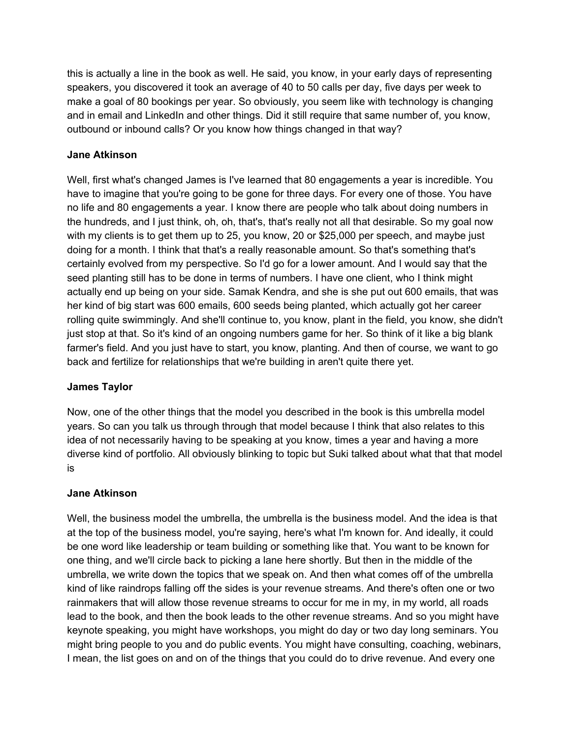this is actually a line in the book as well. He said, you know, in your early days of representing speakers, you discovered it took an average of 40 to 50 calls per day, five days per week to make a goal of 80 bookings per year. So obviously, you seem like with technology is changing and in email and LinkedIn and other things. Did it still require that same number of, you know, outbound or inbound calls? Or you know how things changed in that way?

## **Jane Atkinson**

Well, first what's changed James is I've learned that 80 engagements a year is incredible. You have to imagine that you're going to be gone for three days. For every one of those. You have no life and 80 engagements a year. I know there are people who talk about doing numbers in the hundreds, and I just think, oh, oh, that's, that's really not all that desirable. So my goal now with my clients is to get them up to 25, you know, 20 or \$25,000 per speech, and maybe just doing for a month. I think that that's a really reasonable amount. So that's something that's certainly evolved from my perspective. So I'd go for a lower amount. And I would say that the seed planting still has to be done in terms of numbers. I have one client, who I think might actually end up being on your side. Samak Kendra, and she is she put out 600 emails, that was her kind of big start was 600 emails, 600 seeds being planted, which actually got her career rolling quite swimmingly. And she'll continue to, you know, plant in the field, you know, she didn't just stop at that. So it's kind of an ongoing numbers game for her. So think of it like a big blank farmer's field. And you just have to start, you know, planting. And then of course, we want to go back and fertilize for relationships that we're building in aren't quite there yet.

## **James Taylor**

Now, one of the other things that the model you described in the book is this umbrella model years. So can you talk us through through that model because I think that also relates to this idea of not necessarily having to be speaking at you know, times a year and having a more diverse kind of portfolio. All obviously blinking to topic but Suki talked about what that that model is

## **Jane Atkinson**

Well, the business model the umbrella, the umbrella is the business model. And the idea is that at the top of the business model, you're saying, here's what I'm known for. And ideally, it could be one word like leadership or team building or something like that. You want to be known for one thing, and we'll circle back to picking a lane here shortly. But then in the middle of the umbrella, we write down the topics that we speak on. And then what comes off of the umbrella kind of like raindrops falling off the sides is your revenue streams. And there's often one or two rainmakers that will allow those revenue streams to occur for me in my, in my world, all roads lead to the book, and then the book leads to the other revenue streams. And so you might have keynote speaking, you might have workshops, you might do day or two day long seminars. You might bring people to you and do public events. You might have consulting, coaching, webinars, I mean, the list goes on and on of the things that you could do to drive revenue. And every one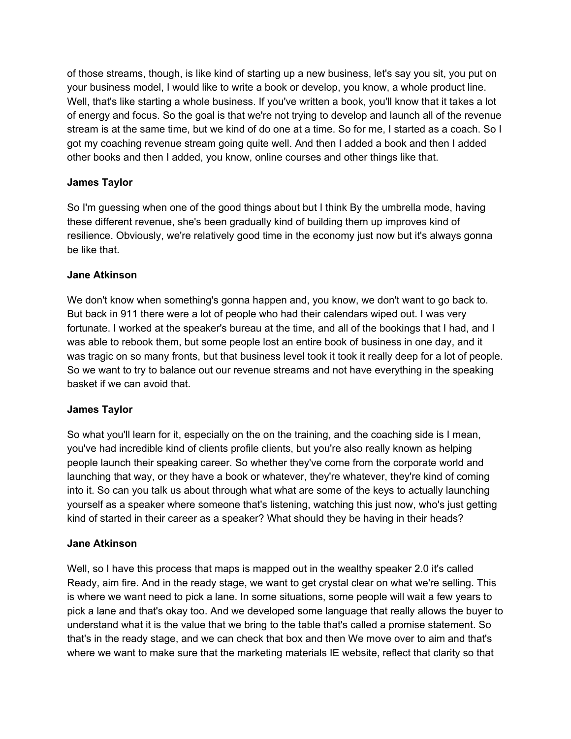of those streams, though, is like kind of starting up a new business, let's say you sit, you put on your business model, I would like to write a book or develop, you know, a whole product line. Well, that's like starting a whole business. If you've written a book, you'll know that it takes a lot of energy and focus. So the goal is that we're not trying to develop and launch all of the revenue stream is at the same time, but we kind of do one at a time. So for me, I started as a coach. So I got my coaching revenue stream going quite well. And then I added a book and then I added other books and then I added, you know, online courses and other things like that.

## **James Taylor**

So I'm guessing when one of the good things about but I think By the umbrella mode, having these different revenue, she's been gradually kind of building them up improves kind of resilience. Obviously, we're relatively good time in the economy just now but it's always gonna be like that.

#### **Jane Atkinson**

We don't know when something's gonna happen and, you know, we don't want to go back to. But back in 911 there were a lot of people who had their calendars wiped out. I was very fortunate. I worked at the speaker's bureau at the time, and all of the bookings that I had, and I was able to rebook them, but some people lost an entire book of business in one day, and it was tragic on so many fronts, but that business level took it took it really deep for a lot of people. So we want to try to balance out our revenue streams and not have everything in the speaking basket if we can avoid that.

#### **James Taylor**

So what you'll learn for it, especially on the on the training, and the coaching side is I mean, you've had incredible kind of clients profile clients, but you're also really known as helping people launch their speaking career. So whether they've come from the corporate world and launching that way, or they have a book or whatever, they're whatever, they're kind of coming into it. So can you talk us about through what what are some of the keys to actually launching yourself as a speaker where someone that's listening, watching this just now, who's just getting kind of started in their career as a speaker? What should they be having in their heads?

#### **Jane Atkinson**

Well, so I have this process that maps is mapped out in the wealthy speaker 2.0 it's called Ready, aim fire. And in the ready stage, we want to get crystal clear on what we're selling. This is where we want need to pick a lane. In some situations, some people will wait a few years to pick a lane and that's okay too. And we developed some language that really allows the buyer to understand what it is the value that we bring to the table that's called a promise statement. So that's in the ready stage, and we can check that box and then We move over to aim and that's where we want to make sure that the marketing materials IE website, reflect that clarity so that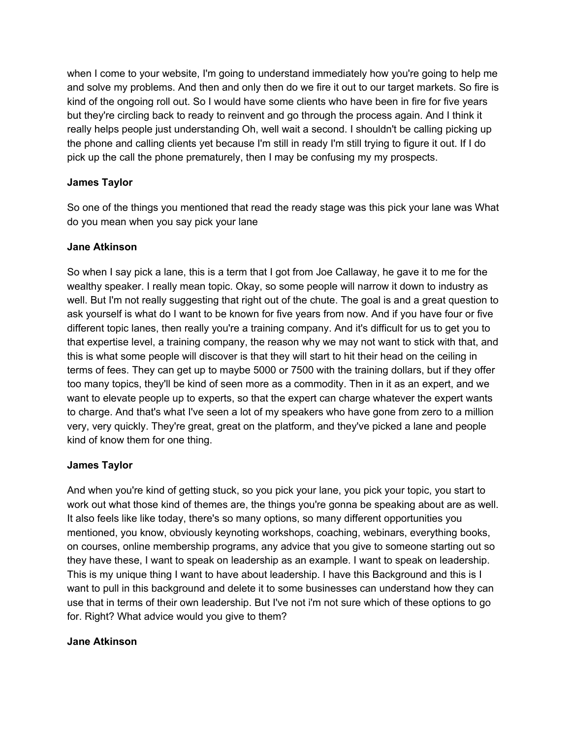when I come to your website, I'm going to understand immediately how you're going to help me and solve my problems. And then and only then do we fire it out to our target markets. So fire is kind of the ongoing roll out. So I would have some clients who have been in fire for five years but they're circling back to ready to reinvent and go through the process again. And I think it really helps people just understanding Oh, well wait a second. I shouldn't be calling picking up the phone and calling clients yet because I'm still in ready I'm still trying to figure it out. If I do pick up the call the phone prematurely, then I may be confusing my my prospects.

## **James Taylor**

So one of the things you mentioned that read the ready stage was this pick your lane was What do you mean when you say pick your lane

## **Jane Atkinson**

So when I say pick a lane, this is a term that I got from Joe Callaway, he gave it to me for the wealthy speaker. I really mean topic. Okay, so some people will narrow it down to industry as well. But I'm not really suggesting that right out of the chute. The goal is and a great question to ask yourself is what do I want to be known for five years from now. And if you have four or five different topic lanes, then really you're a training company. And it's difficult for us to get you to that expertise level, a training company, the reason why we may not want to stick with that, and this is what some people will discover is that they will start to hit their head on the ceiling in terms of fees. They can get up to maybe 5000 or 7500 with the training dollars, but if they offer too many topics, they'll be kind of seen more as a commodity. Then in it as an expert, and we want to elevate people up to experts, so that the expert can charge whatever the expert wants to charge. And that's what I've seen a lot of my speakers who have gone from zero to a million very, very quickly. They're great, great on the platform, and they've picked a lane and people kind of know them for one thing.

# **James Taylor**

And when you're kind of getting stuck, so you pick your lane, you pick your topic, you start to work out what those kind of themes are, the things you're gonna be speaking about are as well. It also feels like like today, there's so many options, so many different opportunities you mentioned, you know, obviously keynoting workshops, coaching, webinars, everything books, on courses, online membership programs, any advice that you give to someone starting out so they have these, I want to speak on leadership as an example. I want to speak on leadership. This is my unique thing I want to have about leadership. I have this Background and this is I want to pull in this background and delete it to some businesses can understand how they can use that in terms of their own leadership. But I've not i'm not sure which of these options to go for. Right? What advice would you give to them?

## **Jane Atkinson**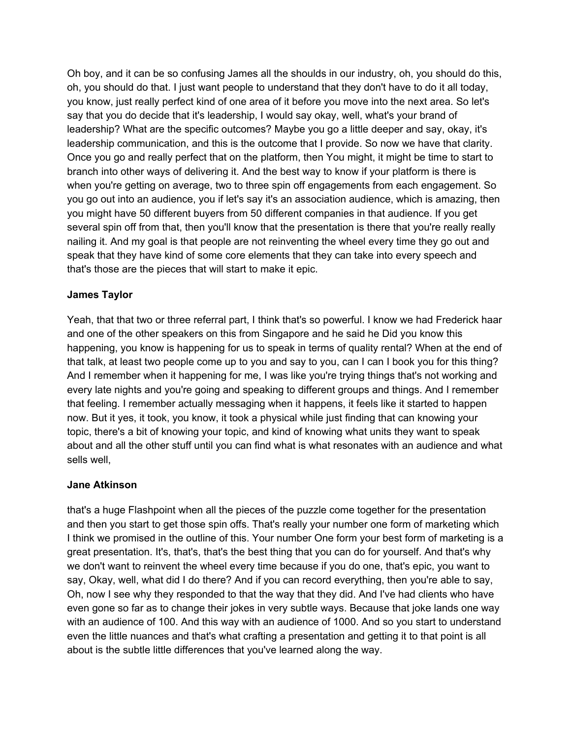Oh boy, and it can be so confusing James all the shoulds in our industry, oh, you should do this, oh, you should do that. I just want people to understand that they don't have to do it all today, you know, just really perfect kind of one area of it before you move into the next area. So let's say that you do decide that it's leadership, I would say okay, well, what's your brand of leadership? What are the specific outcomes? Maybe you go a little deeper and say, okay, it's leadership communication, and this is the outcome that I provide. So now we have that clarity. Once you go and really perfect that on the platform, then You might, it might be time to start to branch into other ways of delivering it. And the best way to know if your platform is there is when you're getting on average, two to three spin off engagements from each engagement. So you go out into an audience, you if let's say it's an association audience, which is amazing, then you might have 50 different buyers from 50 different companies in that audience. If you get several spin off from that, then you'll know that the presentation is there that you're really really nailing it. And my goal is that people are not reinventing the wheel every time they go out and speak that they have kind of some core elements that they can take into every speech and that's those are the pieces that will start to make it epic.

### **James Taylor**

Yeah, that that two or three referral part, I think that's so powerful. I know we had Frederick haar and one of the other speakers on this from Singapore and he said he Did you know this happening, you know is happening for us to speak in terms of quality rental? When at the end of that talk, at least two people come up to you and say to you, can I can I book you for this thing? And I remember when it happening for me, I was like you're trying things that's not working and every late nights and you're going and speaking to different groups and things. And I remember that feeling. I remember actually messaging when it happens, it feels like it started to happen now. But it yes, it took, you know, it took a physical while just finding that can knowing your topic, there's a bit of knowing your topic, and kind of knowing what units they want to speak about and all the other stuff until you can find what is what resonates with an audience and what sells well,

#### **Jane Atkinson**

that's a huge Flashpoint when all the pieces of the puzzle come together for the presentation and then you start to get those spin offs. That's really your number one form of marketing which I think we promised in the outline of this. Your number One form your best form of marketing is a great presentation. It's, that's, that's the best thing that you can do for yourself. And that's why we don't want to reinvent the wheel every time because if you do one, that's epic, you want to say, Okay, well, what did I do there? And if you can record everything, then you're able to say, Oh, now I see why they responded to that the way that they did. And I've had clients who have even gone so far as to change their jokes in very subtle ways. Because that joke lands one way with an audience of 100. And this way with an audience of 1000. And so you start to understand even the little nuances and that's what crafting a presentation and getting it to that point is all about is the subtle little differences that you've learned along the way.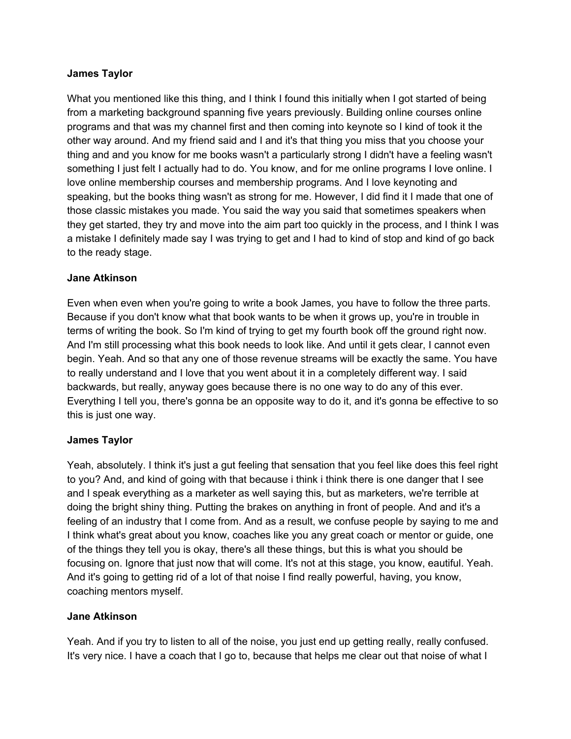#### **James Taylor**

What you mentioned like this thing, and I think I found this initially when I got started of being from a marketing background spanning five years previously. Building online courses online programs and that was my channel first and then coming into keynote so I kind of took it the other way around. And my friend said and I and it's that thing you miss that you choose your thing and and you know for me books wasn't a particularly strong I didn't have a feeling wasn't something I just felt I actually had to do. You know, and for me online programs I love online. I love online membership courses and membership programs. And I love keynoting and speaking, but the books thing wasn't as strong for me. However, I did find it I made that one of those classic mistakes you made. You said the way you said that sometimes speakers when they get started, they try and move into the aim part too quickly in the process, and I think I was a mistake I definitely made say I was trying to get and I had to kind of stop and kind of go back to the ready stage.

### **Jane Atkinson**

Even when even when you're going to write a book James, you have to follow the three parts. Because if you don't know what that book wants to be when it grows up, you're in trouble in terms of writing the book. So I'm kind of trying to get my fourth book off the ground right now. And I'm still processing what this book needs to look like. And until it gets clear, I cannot even begin. Yeah. And so that any one of those revenue streams will be exactly the same. You have to really understand and I love that you went about it in a completely different way. I said backwards, but really, anyway goes because there is no one way to do any of this ever. Everything I tell you, there's gonna be an opposite way to do it, and it's gonna be effective to so this is just one way.

#### **James Taylor**

Yeah, absolutely. I think it's just a gut feeling that sensation that you feel like does this feel right to you? And, and kind of going with that because i think i think there is one danger that I see and I speak everything as a marketer as well saying this, but as marketers, we're terrible at doing the bright shiny thing. Putting the brakes on anything in front of people. And and it's a feeling of an industry that I come from. And as a result, we confuse people by saying to me and I think what's great about you know, coaches like you any great coach or mentor or guide, one of the things they tell you is okay, there's all these things, but this is what you should be focusing on. Ignore that just now that will come. It's not at this stage, you know, eautiful. Yeah. And it's going to getting rid of a lot of that noise I find really powerful, having, you know, coaching mentors myself.

#### **Jane Atkinson**

Yeah. And if you try to listen to all of the noise, you just end up getting really, really confused. It's very nice. I have a coach that I go to, because that helps me clear out that noise of what I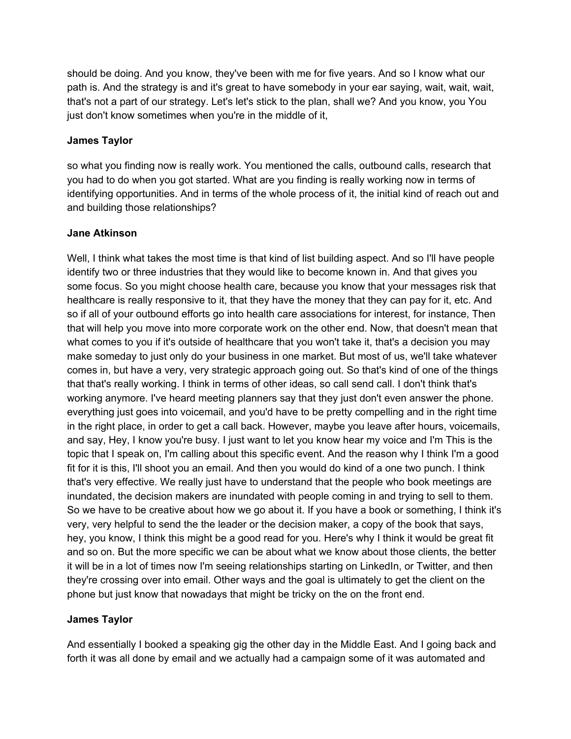should be doing. And you know, they've been with me for five years. And so I know what our path is. And the strategy is and it's great to have somebody in your ear saying, wait, wait, wait, that's not a part of our strategy. Let's let's stick to the plan, shall we? And you know, you You just don't know sometimes when you're in the middle of it,

### **James Taylor**

so what you finding now is really work. You mentioned the calls, outbound calls, research that you had to do when you got started. What are you finding is really working now in terms of identifying opportunities. And in terms of the whole process of it, the initial kind of reach out and and building those relationships?

### **Jane Atkinson**

Well, I think what takes the most time is that kind of list building aspect. And so I'll have people identify two or three industries that they would like to become known in. And that gives you some focus. So you might choose health care, because you know that your messages risk that healthcare is really responsive to it, that they have the money that they can pay for it, etc. And so if all of your outbound efforts go into health care associations for interest, for instance, Then that will help you move into more corporate work on the other end. Now, that doesn't mean that what comes to you if it's outside of healthcare that you won't take it, that's a decision you may make someday to just only do your business in one market. But most of us, we'll take whatever comes in, but have a very, very strategic approach going out. So that's kind of one of the things that that's really working. I think in terms of other ideas, so call send call. I don't think that's working anymore. I've heard meeting planners say that they just don't even answer the phone. everything just goes into voicemail, and you'd have to be pretty compelling and in the right time in the right place, in order to get a call back. However, maybe you leave after hours, voicemails, and say, Hey, I know you're busy. I just want to let you know hear my voice and I'm This is the topic that I speak on, I'm calling about this specific event. And the reason why I think I'm a good fit for it is this, I'll shoot you an email. And then you would do kind of a one two punch. I think that's very effective. We really just have to understand that the people who book meetings are inundated, the decision makers are inundated with people coming in and trying to sell to them. So we have to be creative about how we go about it. If you have a book or something, I think it's very, very helpful to send the the leader or the decision maker, a copy of the book that says, hey, you know, I think this might be a good read for you. Here's why I think it would be great fit and so on. But the more specific we can be about what we know about those clients, the better it will be in a lot of times now I'm seeing relationships starting on LinkedIn, or Twitter, and then they're crossing over into email. Other ways and the goal is ultimately to get the client on the phone but just know that nowadays that might be tricky on the on the front end.

## **James Taylor**

And essentially I booked a speaking gig the other day in the Middle East. And I going back and forth it was all done by email and we actually had a campaign some of it was automated and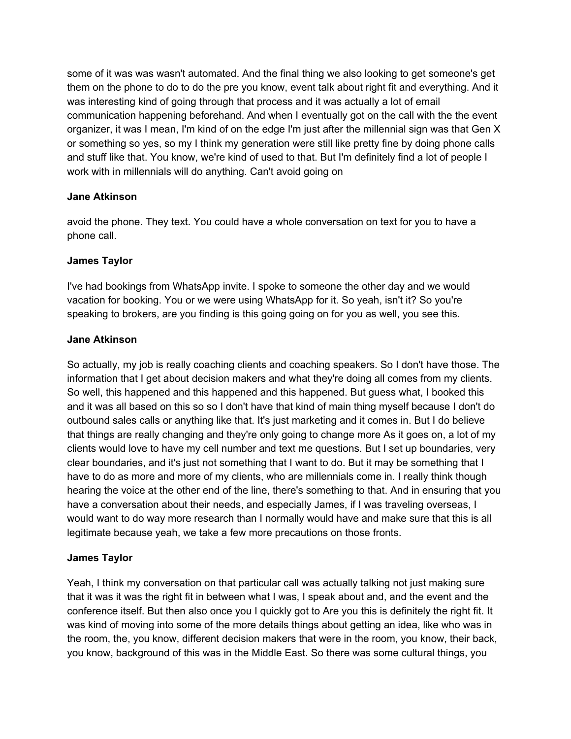some of it was was wasn't automated. And the final thing we also looking to get someone's get them on the phone to do to do the pre you know, event talk about right fit and everything. And it was interesting kind of going through that process and it was actually a lot of email communication happening beforehand. And when I eventually got on the call with the the event organizer, it was I mean, I'm kind of on the edge I'm just after the millennial sign was that Gen X or something so yes, so my I think my generation were still like pretty fine by doing phone calls and stuff like that. You know, we're kind of used to that. But I'm definitely find a lot of people I work with in millennials will do anything. Can't avoid going on

#### **Jane Atkinson**

avoid the phone. They text. You could have a whole conversation on text for you to have a phone call.

### **James Taylor**

I've had bookings from WhatsApp invite. I spoke to someone the other day and we would vacation for booking. You or we were using WhatsApp for it. So yeah, isn't it? So you're speaking to brokers, are you finding is this going going on for you as well, you see this.

### **Jane Atkinson**

So actually, my job is really coaching clients and coaching speakers. So I don't have those. The information that I get about decision makers and what they're doing all comes from my clients. So well, this happened and this happened and this happened. But guess what, I booked this and it was all based on this so so I don't have that kind of main thing myself because I don't do outbound sales calls or anything like that. It's just marketing and it comes in. But I do believe that things are really changing and they're only going to change more As it goes on, a lot of my clients would love to have my cell number and text me questions. But I set up boundaries, very clear boundaries, and it's just not something that I want to do. But it may be something that I have to do as more and more of my clients, who are millennials come in. I really think though hearing the voice at the other end of the line, there's something to that. And in ensuring that you have a conversation about their needs, and especially James, if I was traveling overseas, I would want to do way more research than I normally would have and make sure that this is all legitimate because yeah, we take a few more precautions on those fronts.

## **James Taylor**

Yeah, I think my conversation on that particular call was actually talking not just making sure that it was it was the right fit in between what I was, I speak about and, and the event and the conference itself. But then also once you I quickly got to Are you this is definitely the right fit. It was kind of moving into some of the more details things about getting an idea, like who was in the room, the, you know, different decision makers that were in the room, you know, their back, you know, background of this was in the Middle East. So there was some cultural things, you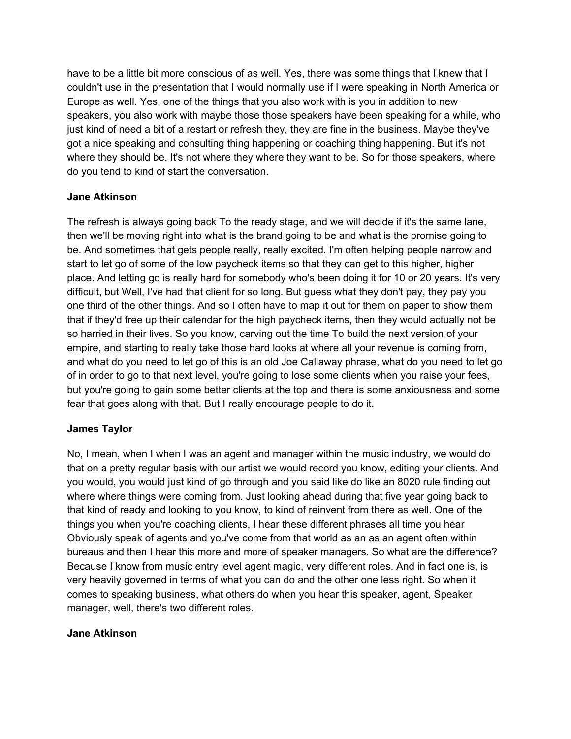have to be a little bit more conscious of as well. Yes, there was some things that I knew that I couldn't use in the presentation that I would normally use if I were speaking in North America or Europe as well. Yes, one of the things that you also work with is you in addition to new speakers, you also work with maybe those those speakers have been speaking for a while, who just kind of need a bit of a restart or refresh they, they are fine in the business. Maybe they've got a nice speaking and consulting thing happening or coaching thing happening. But it's not where they should be. It's not where they where they want to be. So for those speakers, where do you tend to kind of start the conversation.

### **Jane Atkinson**

The refresh is always going back To the ready stage, and we will decide if it's the same lane, then we'll be moving right into what is the brand going to be and what is the promise going to be. And sometimes that gets people really, really excited. I'm often helping people narrow and start to let go of some of the low paycheck items so that they can get to this higher, higher place. And letting go is really hard for somebody who's been doing it for 10 or 20 years. It's very difficult, but Well, I've had that client for so long. But guess what they don't pay, they pay you one third of the other things. And so I often have to map it out for them on paper to show them that if they'd free up their calendar for the high paycheck items, then they would actually not be so harried in their lives. So you know, carving out the time To build the next version of your empire, and starting to really take those hard looks at where all your revenue is coming from, and what do you need to let go of this is an old Joe Callaway phrase, what do you need to let go of in order to go to that next level, you're going to lose some clients when you raise your fees, but you're going to gain some better clients at the top and there is some anxiousness and some fear that goes along with that. But I really encourage people to do it.

## **James Taylor**

No, I mean, when I when I was an agent and manager within the music industry, we would do that on a pretty regular basis with our artist we would record you know, editing your clients. And you would, you would just kind of go through and you said like do like an 8020 rule finding out where where things were coming from. Just looking ahead during that five year going back to that kind of ready and looking to you know, to kind of reinvent from there as well. One of the things you when you're coaching clients, I hear these different phrases all time you hear Obviously speak of agents and you've come from that world as an as an agent often within bureaus and then I hear this more and more of speaker managers. So what are the difference? Because I know from music entry level agent magic, very different roles. And in fact one is, is very heavily governed in terms of what you can do and the other one less right. So when it comes to speaking business, what others do when you hear this speaker, agent, Speaker manager, well, there's two different roles.

#### **Jane Atkinson**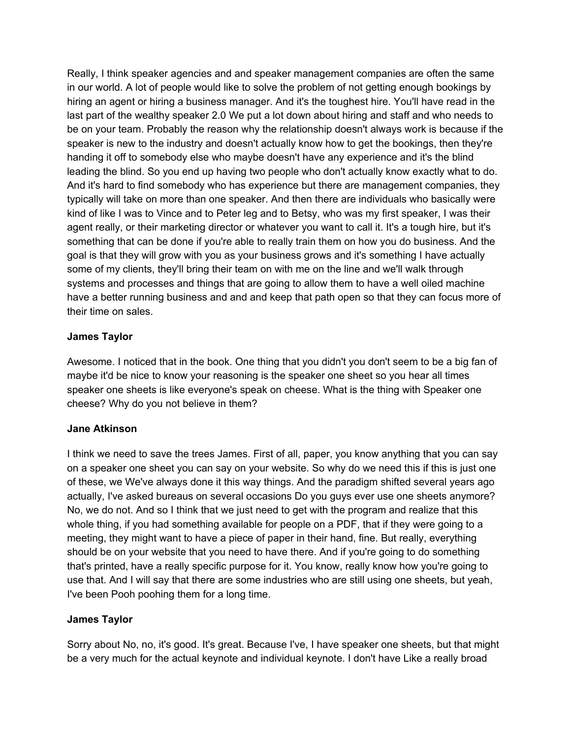Really, I think speaker agencies and and speaker management companies are often the same in our world. A lot of people would like to solve the problem of not getting enough bookings by hiring an agent or hiring a business manager. And it's the toughest hire. You'll have read in the last part of the wealthy speaker 2.0 We put a lot down about hiring and staff and who needs to be on your team. Probably the reason why the relationship doesn't always work is because if the speaker is new to the industry and doesn't actually know how to get the bookings, then they're handing it off to somebody else who maybe doesn't have any experience and it's the blind leading the blind. So you end up having two people who don't actually know exactly what to do. And it's hard to find somebody who has experience but there are management companies, they typically will take on more than one speaker. And then there are individuals who basically were kind of like I was to Vince and to Peter leg and to Betsy, who was my first speaker, I was their agent really, or their marketing director or whatever you want to call it. It's a tough hire, but it's something that can be done if you're able to really train them on how you do business. And the goal is that they will grow with you as your business grows and it's something I have actually some of my clients, they'll bring their team on with me on the line and we'll walk through systems and processes and things that are going to allow them to have a well oiled machine have a better running business and and and keep that path open so that they can focus more of their time on sales.

### **James Taylor**

Awesome. I noticed that in the book. One thing that you didn't you don't seem to be a big fan of maybe it'd be nice to know your reasoning is the speaker one sheet so you hear all times speaker one sheets is like everyone's speak on cheese. What is the thing with Speaker one cheese? Why do you not believe in them?

#### **Jane Atkinson**

I think we need to save the trees James. First of all, paper, you know anything that you can say on a speaker one sheet you can say on your website. So why do we need this if this is just one of these, we We've always done it this way things. And the paradigm shifted several years ago actually, I've asked bureaus on several occasions Do you guys ever use one sheets anymore? No, we do not. And so I think that we just need to get with the program and realize that this whole thing, if you had something available for people on a PDF, that if they were going to a meeting, they might want to have a piece of paper in their hand, fine. But really, everything should be on your website that you need to have there. And if you're going to do something that's printed, have a really specific purpose for it. You know, really know how you're going to use that. And I will say that there are some industries who are still using one sheets, but yeah, I've been Pooh poohing them for a long time.

#### **James Taylor**

Sorry about No, no, it's good. It's great. Because I've, I have speaker one sheets, but that might be a very much for the actual keynote and individual keynote. I don't have Like a really broad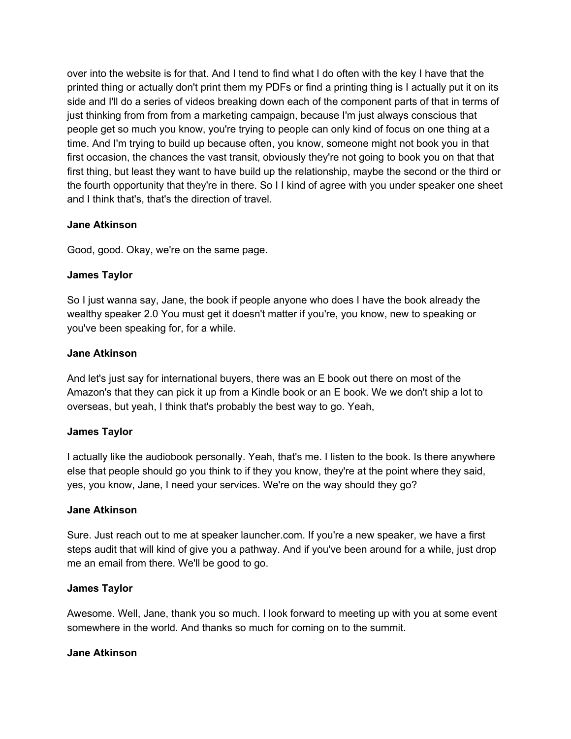over into the website is for that. And I tend to find what I do often with the key I have that the printed thing or actually don't print them my PDFs or find a printing thing is I actually put it on its side and I'll do a series of videos breaking down each of the component parts of that in terms of just thinking from from from a marketing campaign, because I'm just always conscious that people get so much you know, you're trying to people can only kind of focus on one thing at a time. And I'm trying to build up because often, you know, someone might not book you in that first occasion, the chances the vast transit, obviously they're not going to book you on that that first thing, but least they want to have build up the relationship, maybe the second or the third or the fourth opportunity that they're in there. So I I kind of agree with you under speaker one sheet and I think that's, that's the direction of travel.

### **Jane Atkinson**

Good, good. Okay, we're on the same page.

### **James Taylor**

So I just wanna say, Jane, the book if people anyone who does I have the book already the wealthy speaker 2.0 You must get it doesn't matter if you're, you know, new to speaking or you've been speaking for, for a while.

### **Jane Atkinson**

And let's just say for international buyers, there was an E book out there on most of the Amazon's that they can pick it up from a Kindle book or an E book. We we don't ship a lot to overseas, but yeah, I think that's probably the best way to go. Yeah,

#### **James Taylor**

I actually like the audiobook personally. Yeah, that's me. I listen to the book. Is there anywhere else that people should go you think to if they you know, they're at the point where they said, yes, you know, Jane, I need your services. We're on the way should they go?

#### **Jane Atkinson**

Sure. Just reach out to me at speaker launcher.com. If you're a new speaker, we have a first steps audit that will kind of give you a pathway. And if you've been around for a while, just drop me an email from there. We'll be good to go.

#### **James Taylor**

Awesome. Well, Jane, thank you so much. I look forward to meeting up with you at some event somewhere in the world. And thanks so much for coming on to the summit.

#### **Jane Atkinson**